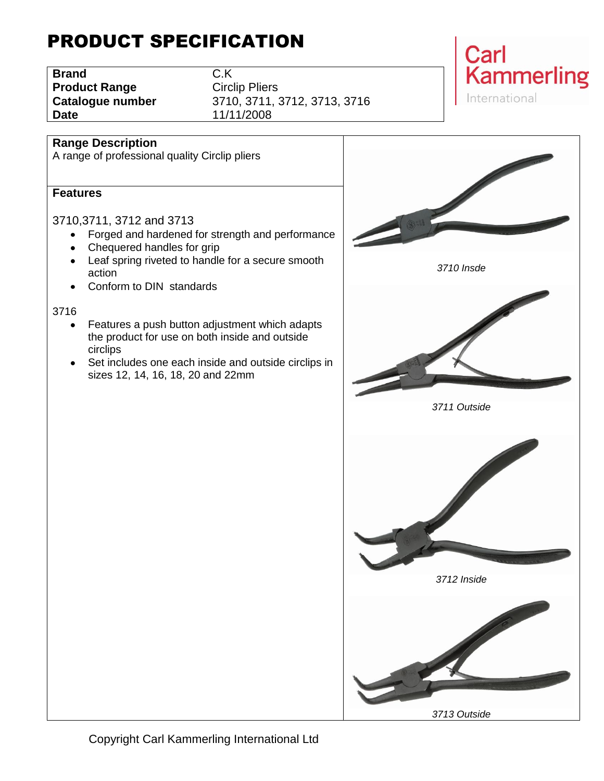# PRODUCT SPECIFICATION

**Brand** C.K **Product Range Circlip Pliers Date** 11/11/2008

**Catalogue number** 3710, 3711, 3712, 3713, 3716



### **Range Description**

A range of professional quality Circlip pliers

#### **Features**

3710,3711, 3712 and 3713

- Forged and hardened for strength and performance
- Chequered handles for grip
- Leaf spring riveted to handle for a secure smooth  $\bullet$ action
- Conform to DIN standards

#### 3716

- Features a push button adjustment which adapts  $\bullet$ the product for use on both inside and outside circlips
- Set includes one each inside and outside circlips in sizes 12, 14, 16, 18, 20 and 22mm

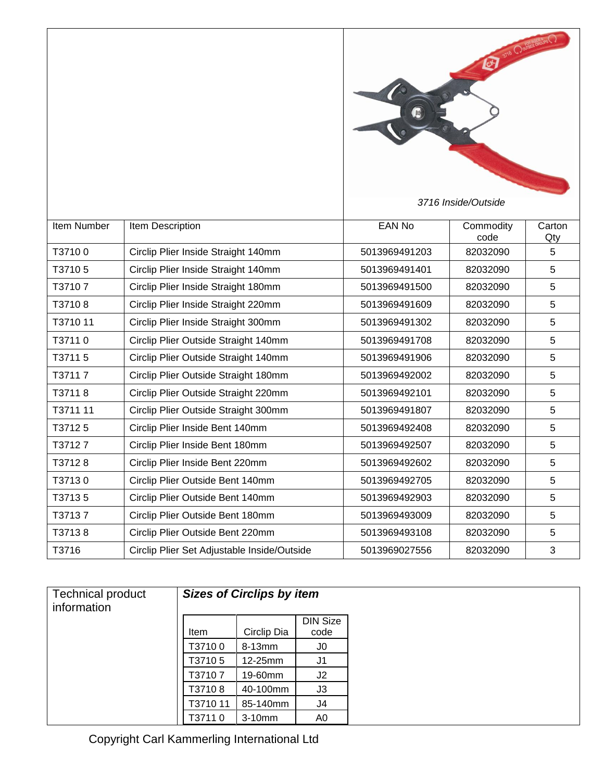

*3716 Inside/Outside*

| <b>Item Number</b> | Item Description                            | EAN No        | Commodity<br>code | Carton<br>Qty |
|--------------------|---------------------------------------------|---------------|-------------------|---------------|
| T37100             | Circlip Plier Inside Straight 140mm         | 5013969491203 | 82032090          | 5             |
| T37105             | Circlip Plier Inside Straight 140mm         | 5013969491401 | 82032090          | 5             |
| T37107             | Circlip Plier Inside Straight 180mm         | 5013969491500 | 82032090          | 5             |
| T37108             | Circlip Plier Inside Straight 220mm         | 5013969491609 | 82032090          | 5             |
| T3710 11           | Circlip Plier Inside Straight 300mm         | 5013969491302 | 82032090          | 5             |
| T37110             | Circlip Plier Outside Straight 140mm        | 5013969491708 | 82032090          | 5             |
| T37115             | Circlip Plier Outside Straight 140mm        | 5013969491906 | 82032090          | 5             |
| T37117             | Circlip Plier Outside Straight 180mm        | 5013969492002 | 82032090          | 5             |
| T37118             | Circlip Plier Outside Straight 220mm        | 5013969492101 | 82032090          | 5             |
| T3711 11           | Circlip Plier Outside Straight 300mm        | 5013969491807 | 82032090          | 5             |
| T37125             | Circlip Plier Inside Bent 140mm             | 5013969492408 | 82032090          | 5             |
| T37127             | Circlip Plier Inside Bent 180mm             | 5013969492507 | 82032090          | 5             |
| T37128             | Circlip Plier Inside Bent 220mm             | 5013969492602 | 82032090          | 5             |
| T37130             | Circlip Plier Outside Bent 140mm            | 5013969492705 | 82032090          | 5             |
| T37135             | Circlip Plier Outside Bent 140mm            | 5013969492903 | 82032090          | 5             |
| T37137             | Circlip Plier Outside Bent 180mm            | 5013969493009 | 82032090          | 5             |
| T37138             | Circlip Plier Outside Bent 220mm            | 5013969493108 | 82032090          | 5             |
| T3716              | Circlip Plier Set Adjustable Inside/Outside | 5013969027556 | 82032090          | 3             |

| <b>Technical product</b><br>information |          | <b>Sizes of Circlips by item</b> |                         |
|-----------------------------------------|----------|----------------------------------|-------------------------|
|                                         | Item     | Circlip Dia                      | <b>DIN Size</b><br>code |
|                                         | T37100   | 8-13mm                           | J0                      |
|                                         | T37105   | 12-25mm                          | J1                      |
|                                         | T3710 7  | 19-60mm                          | J <sub>2</sub>          |
|                                         | T37108   | 40-100mm                         | J3                      |
|                                         | T3710 11 | 85-140mm                         | J4                      |
|                                         | T37110   | $3-10$ mm                        | A0                      |

Copyright Carl Kammerling International Ltd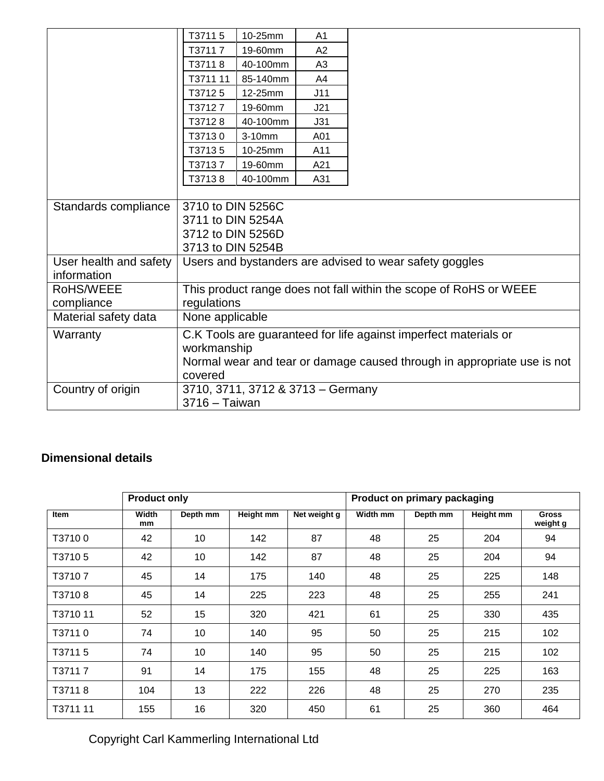|                        | T37115                                                                  | 10-25mm   | A <sub>1</sub> |                                                                   |  |  |  |
|------------------------|-------------------------------------------------------------------------|-----------|----------------|-------------------------------------------------------------------|--|--|--|
|                        | T37117                                                                  | 19-60mm   | A2             |                                                                   |  |  |  |
|                        | T37118                                                                  | 40-100mm  | A <sub>3</sub> |                                                                   |  |  |  |
|                        | T3711 11                                                                | 85-140mm  | A4             |                                                                   |  |  |  |
|                        | T37125                                                                  | 12-25mm   | J11            |                                                                   |  |  |  |
|                        | T37127                                                                  | 19-60mm   | J21            |                                                                   |  |  |  |
|                        | T37128                                                                  | 40-100mm  | J31            |                                                                   |  |  |  |
|                        | T37130                                                                  | $3-10$ mm | A01            |                                                                   |  |  |  |
|                        | T37135                                                                  | 10-25mm   | A11            |                                                                   |  |  |  |
|                        | T37137                                                                  | 19-60mm   | A21            |                                                                   |  |  |  |
|                        | T37138                                                                  | 40-100mm  | A31            |                                                                   |  |  |  |
|                        |                                                                         |           |                |                                                                   |  |  |  |
| Standards compliance   | 3710 to DIN 5256C                                                       |           |                |                                                                   |  |  |  |
|                        | 3711 to DIN 5254A                                                       |           |                |                                                                   |  |  |  |
|                        | 3712 to DIN 5256D                                                       |           |                |                                                                   |  |  |  |
|                        | 3713 to DIN 5254B                                                       |           |                |                                                                   |  |  |  |
| User health and safety |                                                                         |           |                | Users and bystanders are advised to wear safety goggles           |  |  |  |
| information            |                                                                         |           |                |                                                                   |  |  |  |
| RoHS/WEEE              |                                                                         |           |                | This product range does not fall within the scope of RoHS or WEEE |  |  |  |
| compliance             | regulations                                                             |           |                |                                                                   |  |  |  |
| Material safety data   | None applicable                                                         |           |                |                                                                   |  |  |  |
| Warranty               |                                                                         |           |                | C.K Tools are guaranteed for life against imperfect materials or  |  |  |  |
|                        | workmanship                                                             |           |                |                                                                   |  |  |  |
|                        | Normal wear and tear or damage caused through in appropriate use is not |           |                |                                                                   |  |  |  |
|                        | covered                                                                 |           |                |                                                                   |  |  |  |
| Country of origin      | 3710, 3711, 3712 & 3713 - Germany                                       |           |                |                                                                   |  |  |  |
|                        | 3716 - Taiwan                                                           |           |                |                                                                   |  |  |  |

### **Dimensional details**

|          | <b>Product only</b> |          |           |              | Product on primary packaging |          |           |                          |
|----------|---------------------|----------|-----------|--------------|------------------------------|----------|-----------|--------------------------|
| Item     | Width<br>mm         | Depth mm | Height mm | Net weight g | Width mm                     | Depth mm | Height mm | <b>Gross</b><br>weight g |
| T37100   | 42                  | 10       | 142       | 87           | 48                           | 25       | 204       | 94                       |
| T37105   | 42                  | 10       | 142       | 87           | 48                           | 25       | 204       | 94                       |
| T37107   | 45                  | 14       | 175       | 140          | 48                           | 25       | 225       | 148                      |
| T37108   | 45                  | 14       | 225       | 223          | 48                           | 25       | 255       | 241                      |
| T3710 11 | 52                  | 15       | 320       | 421          | 61                           | 25       | 330       | 435                      |
| T37110   | 74                  | 10       | 140       | 95           | 50                           | 25       | 215       | 102                      |
| T37115   | 74                  | 10       | 140       | 95           | 50                           | 25       | 215       | 102                      |
| T37117   | 91                  | 14       | 175       | 155          | 48                           | 25       | 225       | 163                      |
| T37118   | 104                 | 13       | 222       | 226          | 48                           | 25       | 270       | 235                      |
| T3711 11 | 155                 | 16       | 320       | 450          | 61                           | 25       | 360       | 464                      |

Copyright Carl Kammerling International Ltd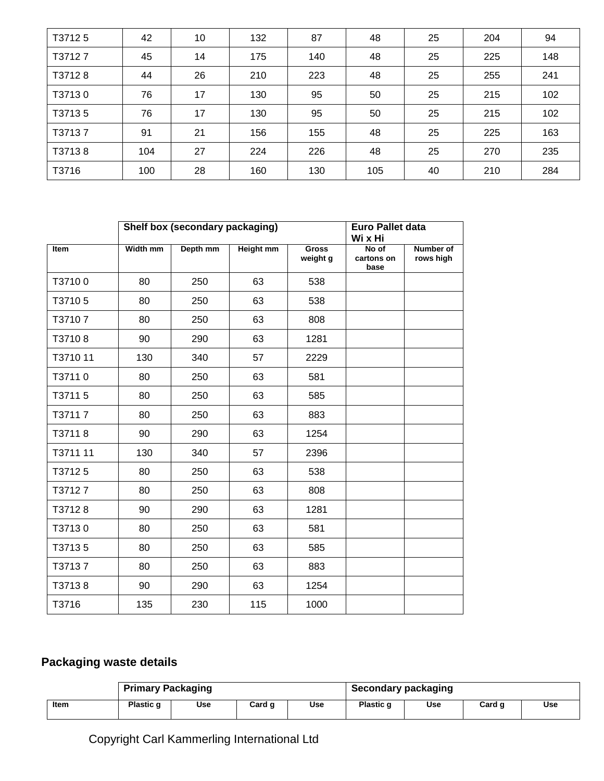| T37125 | 42  | 10 | 132 | 87  | 48  | 25 | 204 | 94  |
|--------|-----|----|-----|-----|-----|----|-----|-----|
| T37127 | 45  | 14 | 175 | 140 | 48  | 25 | 225 | 148 |
| T37128 | 44  | 26 | 210 | 223 | 48  | 25 | 255 | 241 |
| T37130 | 76  | 17 | 130 | 95  | 50  | 25 | 215 | 102 |
| T37135 | 76  | 17 | 130 | 95  | 50  | 25 | 215 | 102 |
| T37137 | 91  | 21 | 156 | 155 | 48  | 25 | 225 | 163 |
| T37138 | 104 | 27 | 224 | 226 | 48  | 25 | 270 | 235 |
| T3716  | 100 | 28 | 160 | 130 | 105 | 40 | 210 | 284 |

|          |          | Shelf box (secondary packaging) | <b>Euro Pallet data</b><br>Wi x Hi |                          |                             |                               |
|----------|----------|---------------------------------|------------------------------------|--------------------------|-----------------------------|-------------------------------|
| Item     | Width mm | Depth mm                        | <b>Height mm</b>                   | <b>Gross</b><br>weight g | No of<br>cartons on<br>base | <b>Number of</b><br>rows high |
| T37100   | 80       | 250                             | 63                                 | 538                      |                             |                               |
| T37105   | 80       | 250                             | 63                                 | 538                      |                             |                               |
| T37107   | 80       | 250                             | 63                                 | 808                      |                             |                               |
| T37108   | 90       | 290                             | 63                                 | 1281                     |                             |                               |
| T3710 11 | 130      | 340                             | 57                                 | 2229                     |                             |                               |
| T37110   | 80       | 250                             | 63                                 | 581                      |                             |                               |
| T37115   | 80       | 250                             | 63                                 | 585                      |                             |                               |
| T37117   | 80       | 250                             | 63                                 | 883                      |                             |                               |
| T37118   | 90       | 290                             | 63                                 | 1254                     |                             |                               |
| T3711 11 | 130      | 340                             | 57                                 | 2396                     |                             |                               |
| T37125   | 80       | 250                             | 63                                 | 538                      |                             |                               |
| T37127   | 80       | 250                             | 63                                 | 808                      |                             |                               |
| T37128   | 90       | 290                             | 63                                 | 1281                     |                             |                               |
| T37130   | 80       | 250                             | 63                                 | 581                      |                             |                               |
| T37135   | 80       | 250                             | 63                                 | 585                      |                             |                               |
| T37137   | 80       | 250                             | 63                                 | 883                      |                             |                               |
| T37138   | 90       | 290                             | 63                                 | 1254                     |                             |                               |
| T3716    | 135      | 230                             | 115                                | 1000                     |                             |                               |

## **Packaging waste details**

|      | <b>Primary Packaging</b> |     |        |     | <b>Secondary packaging</b> |     |        |     |
|------|--------------------------|-----|--------|-----|----------------------------|-----|--------|-----|
| Item | Plastic q                | Use | Card q | Use | Plastic q                  | Use | Card q | Use |

# Copyright Carl Kammerling International Ltd